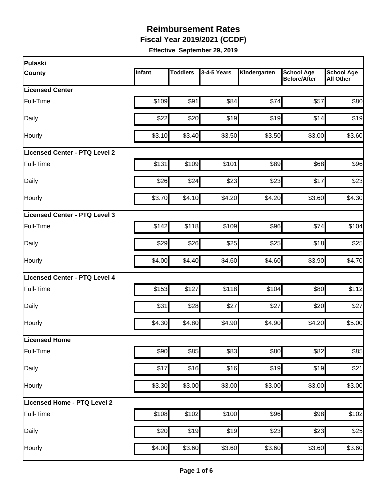**Fiscal Year 2019/2021 (CCDF)**

| Pulaski                       |        |                 |             |              |                                          |                                       |
|-------------------------------|--------|-----------------|-------------|--------------|------------------------------------------|---------------------------------------|
| <b>County</b>                 | Infant | <b>Toddlers</b> | 3-4-5 Years | Kindergarten | <b>School Age</b><br><b>Before/After</b> | <b>School Age</b><br><b>All Other</b> |
| <b>Licensed Center</b>        |        |                 |             |              |                                          |                                       |
| Full-Time                     | \$109  | \$91            | \$84        | \$74         | \$57                                     | \$80                                  |
| Daily                         | \$22   | \$20            | \$19        | \$19         | \$14                                     | \$19                                  |
| Hourly                        | \$3.10 | \$3.40          | \$3.50      | \$3.50       | \$3.00                                   | \$3.60                                |
| Licensed Center - PTQ Level 2 |        |                 |             |              |                                          |                                       |
| Full-Time                     | \$131  | \$109           | \$101       | \$89         | \$68                                     | \$96                                  |
| Daily                         | \$26   | \$24            | \$23        | \$23         | \$17                                     | \$23                                  |
| Hourly                        | \$3.70 | \$4.10          | \$4.20      | \$4.20       | \$3.60                                   | \$4.30                                |
| Licensed Center - PTQ Level 3 |        |                 |             |              |                                          |                                       |
| Full-Time                     | \$142  | \$118           | \$109       | \$96         | \$74                                     | \$104                                 |
| Daily                         | \$29   | \$26            | \$25        | \$25         | \$18                                     | \$25                                  |
| Hourly                        | \$4.00 | \$4.40          | \$4.60      | \$4.60       | \$3.90                                   | \$4.70                                |
| Licensed Center - PTQ Level 4 |        |                 |             |              |                                          |                                       |
| Full-Time                     | \$153  | \$127           | \$118       | \$104        | \$80                                     | \$112                                 |
| Daily                         | \$31   | \$28            | \$27        | \$27         | \$20                                     | \$27                                  |
| Hourly                        | \$4.30 | \$4.80          | \$4.90      | \$4.90       | \$4.20                                   | \$5.00                                |
| <b>Licensed Home</b>          |        |                 |             |              |                                          |                                       |
| Full-Time                     | \$90   | \$85            | \$83        | \$80         | \$82                                     | \$85                                  |
| Daily                         | \$17   | \$16            | \$16        | \$19         | \$19                                     | \$21                                  |
| Hourly                        | \$3.30 | \$3.00          | \$3.00      | \$3.00       | \$3.00                                   | \$3.00                                |
| Licensed Home - PTQ Level 2   |        |                 |             |              |                                          |                                       |
| Full-Time                     | \$108  | \$102           | \$100       | \$96         | \$98                                     | \$102                                 |
| Daily                         | \$20   | \$19            | \$19        | \$23         | \$23                                     | \$25                                  |
| Hourly                        | \$4.00 | \$3.60          | \$3.60      | \$3.60       | \$3.60                                   | \$3.60                                |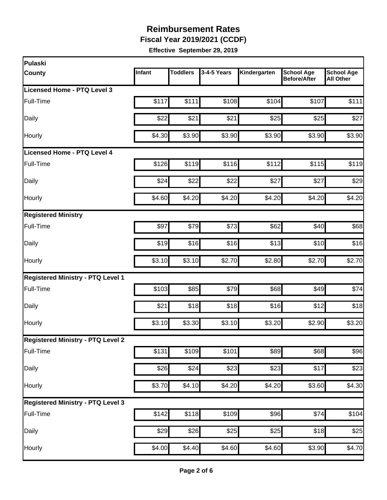**Fiscal Year 2019/2021 (CCDF)**

| Pulaski                                  |        |                 |             |              |                                          |                                       |
|------------------------------------------|--------|-----------------|-------------|--------------|------------------------------------------|---------------------------------------|
| <b>County</b>                            | Infant | <b>Toddlers</b> | 3-4-5 Years | Kindergarten | <b>School Age</b><br><b>Before/After</b> | <b>School Age</b><br><b>All Other</b> |
| Licensed Home - PTQ Level 3              |        |                 |             |              |                                          |                                       |
| Full-Time                                | \$117  | \$111           | \$108       | \$104        | \$107                                    | \$111                                 |
| Daily                                    | \$22   | \$21            | \$21        | \$25         | \$25                                     | \$27                                  |
| Hourly                                   | \$4.30 | \$3.90          | \$3.90      | \$3.90       | \$3.90                                   | \$3.90                                |
| <b>Licensed Home - PTQ Level 4</b>       |        |                 |             |              |                                          |                                       |
| Full-Time                                | \$126  | \$119           | \$116       | \$112        | \$115                                    | \$119                                 |
| Daily                                    | \$24   | \$22            | \$22        | \$27         | \$27                                     | \$29                                  |
| Hourly                                   | \$4.60 | \$4.20          | \$4.20      | \$4.20       | \$4.20                                   | \$4.20                                |
| <b>Registered Ministry</b>               |        |                 |             |              |                                          |                                       |
| Full-Time                                | \$97   | \$79            | \$73        | \$62         | \$40                                     | \$68                                  |
| Daily                                    | \$19   | \$16            | \$16        | \$13         | \$10                                     | \$16                                  |
| Hourly                                   | \$3.10 | \$3.10          | \$2.70      | \$2.80       | \$2.70                                   | \$2.70                                |
| <b>Registered Ministry - PTQ Level 1</b> |        |                 |             |              |                                          |                                       |
| Full-Time                                | \$103  | \$85            | \$79        | \$68         | \$49                                     | \$74                                  |
| Daily                                    | \$21   | \$18            | \$18        | \$16         | \$12                                     | \$18                                  |
| Hourly                                   | \$3.10 | \$3.30          | \$3.10      | \$3.20       | \$2.90                                   | \$3.20                                |
| <b>Registered Ministry - PTQ Level 2</b> |        |                 |             |              |                                          |                                       |
| Full-Time                                | \$131  | \$109           | \$101       | \$89         | \$68                                     | \$96                                  |
| Daily                                    | \$26   | \$24            | \$23        | \$23         | \$17                                     | \$23                                  |
| Hourly                                   | \$3.70 | \$4.10          | \$4.20      | \$4.20       | \$3.60                                   | \$4.30                                |
| <b>Registered Ministry - PTQ Level 3</b> |        |                 |             |              |                                          |                                       |
| Full-Time                                | \$142  | \$118           | \$109       | \$96         | \$74                                     | \$104                                 |
| Daily                                    | \$29   | \$26            | \$25        | \$25         | \$18                                     | \$25                                  |
| Hourly                                   | \$4.00 | \$4.40          | \$4.60      | \$4.60       | \$3.90                                   | \$4.70                                |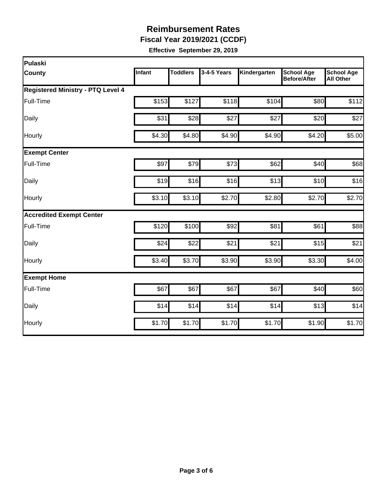**Fiscal Year 2019/2021 (CCDF)**

| Pulaski                                  |        |                 |             |              |                                          |                                       |
|------------------------------------------|--------|-----------------|-------------|--------------|------------------------------------------|---------------------------------------|
| <b>County</b>                            | Infant | <b>Toddlers</b> | 3-4-5 Years | Kindergarten | <b>School Age</b><br><b>Before/After</b> | <b>School Age</b><br><b>All Other</b> |
| <b>Registered Ministry - PTQ Level 4</b> |        |                 |             |              |                                          |                                       |
| Full-Time                                | \$153  | \$127           | \$118       | \$104        | \$80                                     | \$112                                 |
| Daily                                    | \$31   | \$28            | \$27        | \$27         | \$20                                     | \$27                                  |
| Hourly                                   | \$4.30 | \$4.80          | \$4.90      | \$4.90       | \$4.20                                   | \$5.00                                |
| <b>Exempt Center</b>                     |        |                 |             |              |                                          |                                       |
| Full-Time                                | \$97   | \$79            | \$73        | \$62         | \$40                                     | \$68                                  |
| Daily                                    | \$19   | \$16            | \$16        | \$13         | \$10                                     | \$16                                  |
| Hourly                                   | \$3.10 | \$3.10          | \$2.70      | \$2.80       | \$2.70                                   | \$2.70                                |
| <b>Accredited Exempt Center</b>          |        |                 |             |              |                                          |                                       |
| Full-Time                                | \$120  | \$100           | \$92        | \$81         | \$61                                     | \$88                                  |
| Daily                                    | \$24   | \$22            | \$21        | \$21         | \$15                                     | \$21                                  |
| Hourly                                   | \$3.40 | \$3.70          | \$3.90      | \$3.90       | \$3.30                                   | \$4.00                                |
| <b>Exempt Home</b>                       |        |                 |             |              |                                          |                                       |
| Full-Time                                | \$67   | \$67            | \$67        | \$67         | \$40                                     | \$60                                  |
| Daily                                    | \$14   | \$14            | \$14        | \$14         | \$13                                     | \$14                                  |
| Hourly                                   | \$1.70 | \$1.70          | \$1.70      | \$1.70       | \$1.90                                   | \$1.70                                |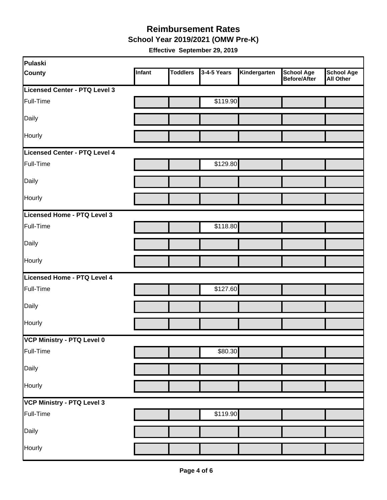#### **School Year 2019/2021 (OMW Pre-K) Reimbursement Rates**

| Pulaski                       |        |                 |             |              |                                          |                         |
|-------------------------------|--------|-----------------|-------------|--------------|------------------------------------------|-------------------------|
| <b>County</b>                 | Infant | <b>Toddlers</b> | 3-4-5 Years | Kindergarten | <b>School Age</b><br><b>Before/After</b> | School Age<br>All Other |
| Licensed Center - PTQ Level 3 |        |                 |             |              |                                          |                         |
| Full-Time                     |        |                 | \$119.90    |              |                                          |                         |
| Daily                         |        |                 |             |              |                                          |                         |
| Hourly                        |        |                 |             |              |                                          |                         |
| Licensed Center - PTQ Level 4 |        |                 |             |              |                                          |                         |
| Full-Time                     |        |                 | \$129.80    |              |                                          |                         |
| Daily                         |        |                 |             |              |                                          |                         |
| Hourly                        |        |                 |             |              |                                          |                         |
| Licensed Home - PTQ Level 3   |        |                 |             |              |                                          |                         |
| Full-Time                     |        |                 | \$118.80    |              |                                          |                         |
| Daily                         |        |                 |             |              |                                          |                         |
| Hourly                        |        |                 |             |              |                                          |                         |
| Licensed Home - PTQ Level 4   |        |                 |             |              |                                          |                         |
| Full-Time                     |        |                 | \$127.60    |              |                                          |                         |
| Daily                         |        |                 |             |              |                                          |                         |
| Hourly                        |        |                 |             |              |                                          |                         |
| VCP Ministry - PTQ Level 0    |        |                 |             |              |                                          |                         |
| Full-Time                     |        |                 | \$80.30     |              |                                          |                         |
| Daily                         |        |                 |             |              |                                          |                         |
| Hourly                        |        |                 |             |              |                                          |                         |
| VCP Ministry - PTQ Level 3    |        |                 |             |              |                                          |                         |
| Full-Time                     |        |                 | \$119.90    |              |                                          |                         |
| Daily                         |        |                 |             |              |                                          |                         |
| Hourly                        |        |                 |             |              |                                          |                         |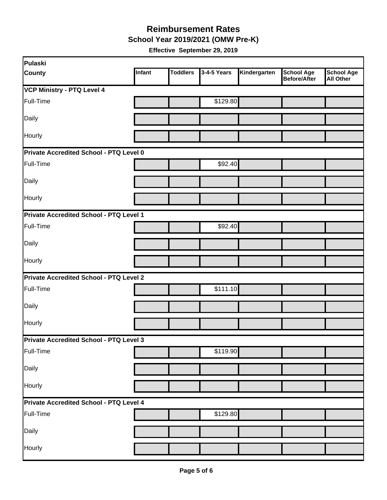**School Year 2019/2021 (OMW Pre-K)**

| Pulaski                                        |        |                 |             |              |                                   |                                       |
|------------------------------------------------|--------|-----------------|-------------|--------------|-----------------------------------|---------------------------------------|
| <b>County</b>                                  | Infant | <b>Toddlers</b> | 3-4-5 Years | Kindergarten | <b>School Age</b><br>Before/After | <b>School Age</b><br><b>All Other</b> |
| <b>VCP Ministry - PTQ Level 4</b>              |        |                 |             |              |                                   |                                       |
| Full-Time                                      |        |                 | \$129.80    |              |                                   |                                       |
| Daily                                          |        |                 |             |              |                                   |                                       |
| Hourly                                         |        |                 |             |              |                                   |                                       |
| Private Accredited School - PTQ Level 0        |        |                 |             |              |                                   |                                       |
| Full-Time                                      |        |                 | \$92.40     |              |                                   |                                       |
| Daily                                          |        |                 |             |              |                                   |                                       |
| Hourly                                         |        |                 |             |              |                                   |                                       |
| Private Accredited School - PTQ Level 1        |        |                 |             |              |                                   |                                       |
| Full-Time                                      |        |                 | \$92.40     |              |                                   |                                       |
| Daily                                          |        |                 |             |              |                                   |                                       |
| Hourly                                         |        |                 |             |              |                                   |                                       |
| <b>Private Accredited School - PTQ Level 2</b> |        |                 |             |              |                                   |                                       |
| Full-Time                                      |        |                 | \$111.10    |              |                                   |                                       |
| Daily                                          |        |                 |             |              |                                   |                                       |
| Hourly                                         |        |                 |             |              |                                   |                                       |
| Private Accredited School - PTQ Level 3        |        |                 |             |              |                                   |                                       |
| Full-Time                                      |        |                 | \$119.90    |              |                                   |                                       |
| Daily                                          |        |                 |             |              |                                   |                                       |
| Hourly                                         |        |                 |             |              |                                   |                                       |
| Private Accredited School - PTQ Level 4        |        |                 |             |              |                                   |                                       |
| Full-Time                                      |        |                 | \$129.80    |              |                                   |                                       |
| Daily                                          |        |                 |             |              |                                   |                                       |
| Hourly                                         |        |                 |             |              |                                   |                                       |